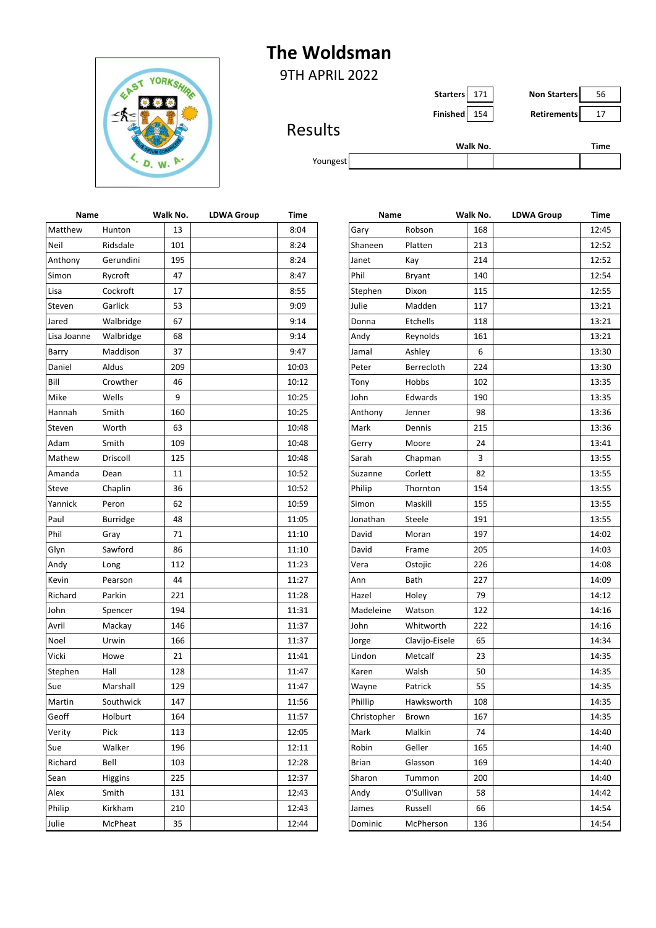## **The Woldsman**



9TH APRIL 2022

**Starters** 171 **Non Starters** 56

**Finished** 154 **Retirements** 17

## Results

|          | Walk No. | Time |
|----------|----------|------|
| Youngest |          |      |
|          |          |      |

| Name        |           | Walk No. | <b>LDWA Group</b> | Time  | Name        |                | Walk No. | <b>LDWA Group</b> | <b>Time</b> |
|-------------|-----------|----------|-------------------|-------|-------------|----------------|----------|-------------------|-------------|
| Matthew     | Hunton    | 13       |                   | 8:04  | Gary        | Robson         | 168      |                   | 12:45       |
| Neil        | Ridsdale  | 101      |                   | 8:24  | Shaneen     | Platten        | 213      |                   | 12:52       |
| Anthony     | Gerundini | 195      |                   | 8:24  | Janet       | Kay            | 214      |                   | 12:52       |
| Simon       | Rycroft   | 47       |                   | 8:47  | Phil        | Bryant         | 140      |                   | 12:54       |
| Lisa        | Cockroft  | 17       |                   | 8:55  | Stephen     | Dixon          | 115      |                   | 12:55       |
| Steven      | Garlick   | 53       |                   | 9:09  | Julie       | Madden         | 117      |                   | 13:21       |
| Jared       | Walbridge | 67       |                   | 9:14  | Donna       | Etchells       | 118      |                   | 13:21       |
| Lisa Joanne | Walbridge | 68       |                   | 9:14  | Andy        | Reynolds       | 161      |                   | 13:21       |
| Barry       | Maddison  | 37       |                   | 9:47  | Jamal       | Ashley         | 6        |                   | 13:30       |
| Daniel      | Aldus     | 209      |                   | 10:03 | Peter       | Berrecloth     | 224      |                   | 13:30       |
| Bill        | Crowther  | 46       |                   | 10:12 | Tony        | Hobbs          | 102      |                   | 13:35       |
| Mike        | Wells     | 9        |                   | 10:25 | John        | Edwards        | 190      |                   | 13:35       |
| Hannah      | Smith     | 160      |                   | 10:25 | Anthony     | Jenner         | 98       |                   | 13:36       |
| Steven      | Worth     | 63       |                   | 10:48 | Mark        | Dennis         | 215      |                   | 13:36       |
| Adam        | Smith     | 109      |                   | 10:48 | Gerry       | Moore          | 24       |                   | 13:41       |
| Mathew      | Driscoll  | 125      |                   | 10:48 | Sarah       | Chapman        | 3        |                   | 13:55       |
| Amanda      | Dean      | 11       |                   | 10:52 | Suzanne     | Corlett        | 82       |                   | 13:55       |
| Steve       | Chaplin   | 36       |                   | 10:52 | Philip      | Thornton       | 154      |                   | 13:55       |
| Yannick     | Peron     | 62       |                   | 10:59 | Simon       | Maskill        | 155      |                   | 13:55       |
| Paul        | Burridge  | 48       |                   | 11:05 | Jonathan    | Steele         | 191      |                   | 13:55       |
| Phil        | Gray      | 71       |                   | 11:10 | David       | Moran          | 197      |                   | 14:02       |
| Glyn        | Sawford   | 86       |                   | 11:10 | David       | Frame          | 205      |                   | 14:03       |
| Andy        | Long      | 112      |                   | 11:23 | Vera        | Ostojic        | 226      |                   | 14:08       |
| Kevin       | Pearson   | 44       |                   | 11:27 | Ann         | Bath           | 227      |                   | 14:09       |
| Richard     | Parkin    | 221      |                   | 11:28 | Hazel       | Holey          | 79       |                   | 14:12       |
| John        | Spencer   | 194      |                   | 11:31 | Madeleine   | Watson         | 122      |                   | 14:16       |
| Avril       | Mackay    | 146      |                   | 11:37 | John        | Whitworth      | 222      |                   | 14:16       |
| Noel        | Urwin     | 166      |                   | 11:37 | Jorge       | Clavijo-Eisele | 65       |                   | 14:34       |
| Vicki       | Howe      | 21       |                   | 11:41 | Lindon      | Metcalf        | 23       |                   | 14:35       |
| Stephen     | Hall      | 128      |                   | 11:47 | Karen       | Walsh          | 50       |                   | 14:35       |
| Sue         | Marshall  | 129      |                   | 11:47 | Wayne       | Patrick        | 55       |                   | 14:35       |
| Martin      | Southwick | 147      |                   | 11:56 | Phillip     | Hawksworth     | 108      |                   | 14:35       |
| Geoff       | Holburt   | 164      |                   | 11:57 | Christopher | Brown          | 167      |                   | 14:35       |
| Verity      | Pick      | 113      |                   | 12:05 | Mark        | Malkin         | 74       |                   | 14:40       |
| Sue         | Walker    | 196      |                   | 12:11 | Robin       | Geller         | 165      |                   | 14:40       |
| Richard     | Bell      | 103      |                   | 12:28 | Brian       | Glasson        | 169      |                   | 14:40       |
| Sean        | Higgins   | 225      |                   | 12:37 | Sharon      | Tummon         | 200      |                   | 14:40       |
| Alex        | Smith     | 131      |                   | 12:43 | Andy        | O'Sullivan     | 58       |                   | 14:42       |
| Philip      | Kirkham   | 210      |                   | 12:43 | James       | Russell        | 66       |                   | 14:54       |
| Julie       | McPheat   | 35       |                   | 12:44 | Dominic     | McPherson      | 136      |                   | 14:54       |
|             |           |          |                   |       |             |                |          |                   |             |

| Name |                 | Walk No. | <b>LDWA Group</b> | Time  | Name         |                | Walk No. | <b>LDWA Group</b> | Time  |
|------|-----------------|----------|-------------------|-------|--------------|----------------|----------|-------------------|-------|
| W    | Hunton          | 13       |                   | 8:04  | Gary         | Robson         | 168      |                   | 12:45 |
|      | Ridsdale        | 101      |                   | 8:24  | Shaneen      | Platten        | 213      |                   | 12:52 |
| y    | Gerundini       | 195      |                   | 8:24  | Janet        | Kay            | 214      |                   | 12:52 |
|      | Rycroft         | 47       |                   | 8:47  | Phil         | <b>Bryant</b>  | 140      |                   | 12:54 |
|      | Cockroft        | 17       |                   | 8:55  | Stephen      | Dixon          | 115      |                   | 12:55 |
|      | Garlick         | 53       |                   | 9:09  | Julie        | Madden         | 117      |                   | 13:21 |
|      | Walbridge       | 67       |                   | 9:14  | Donna        | Etchells       | 118      |                   | 13:21 |
| nne  | Walbridge       | 68       |                   | 9:14  | Andy         | Reynolds       | 161      |                   | 13:21 |
|      | Maddison        | 37       |                   | 9:47  | Jamal        | Ashley         | 6        |                   | 13:30 |
|      | Aldus           | 209      |                   | 10:03 | Peter        | Berrecloth     | 224      |                   | 13:30 |
|      | Crowther        | 46       |                   | 10:12 | Tony         | Hobbs          | 102      |                   | 13:35 |
|      | Wells           | 9        |                   | 10:25 | John         | Edwards        | 190      |                   | 13:35 |
|      | Smith           | 160      |                   | 10:25 | Anthony      | Jenner         | 98       |                   | 13:36 |
|      | Worth           | 63       |                   | 10:48 | Mark         | Dennis         | 215      |                   | 13:36 |
|      | Smith           | 109      |                   | 10:48 | Gerry        | Moore          | 24       |                   | 13:41 |
| V    | Driscoll        | 125      |                   | 10:48 | Sarah        | Chapman        | 3        |                   | 13:55 |
| a    | Dean            | 11       |                   | 10:52 | Suzanne      | Corlett        | 82       |                   | 13:55 |
|      | Chaplin         | 36       |                   | 10:52 | Philip       | Thornton       | 154      |                   | 13:55 |
|      | Peron           | 62       |                   | 10:59 | Simon        | Maskill        | 155      |                   | 13:55 |
|      | <b>Burridge</b> | 48       |                   | 11:05 | Jonathan     | Steele         | 191      |                   | 13:55 |
|      | Gray            | 71       |                   | 11:10 | David        | Moran          | 197      |                   | 14:02 |
|      | Sawford         | 86       |                   | 11:10 | David        | Frame          | 205      |                   | 14:03 |
|      | Long            | 112      |                   | 11:23 | Vera         | Ostojic        | 226      |                   | 14:08 |
|      | Pearson         | 44       |                   | 11:27 | Ann          | Bath           | 227      |                   | 14:09 |
|      | Parkin          | 221      |                   | 11:28 | Hazel        | Holey          | 79       |                   | 14:12 |
|      | Spencer         | 194      |                   | 11:31 | Madeleine    | Watson         | 122      |                   | 14:16 |
|      | Mackay          | 146      |                   | 11:37 | John         | Whitworth      | 222      |                   | 14:16 |
|      | Urwin           | 166      |                   | 11:37 | Jorge        | Clavijo-Eisele | 65       |                   | 14:34 |
|      | Howe            | 21       |                   | 11:41 | Lindon       | Metcalf        | 23       |                   | 14:35 |
| J.   | Hall            | 128      |                   | 11:47 | Karen        | Walsh          | 50       |                   | 14:35 |
|      | Marshall        | 129      |                   | 11:47 | Wayne        | Patrick        | 55       |                   | 14:35 |
|      | Southwick       | 147      |                   | 11:56 | Phillip      | Hawksworth     | 108      |                   | 14:35 |
|      | Holburt         | 164      |                   | 11:57 | Christopher  | Brown          | 167      |                   | 14:35 |
|      | Pick            | 113      |                   | 12:05 | Mark         | Malkin         | 74       |                   | 14:40 |
|      | Walker          | 196      |                   | 12:11 | Robin        | Geller         | 165      |                   | 14:40 |
|      | Bell            | 103      |                   | 12:28 | <b>Brian</b> | Glasson        | 169      |                   | 14:40 |
|      | Higgins         | 225      |                   | 12:37 | Sharon       | Tummon         | 200      |                   | 14:40 |
|      | Smith           | 131      |                   | 12:43 | Andy         | O'Sullivan     | 58       |                   | 14:42 |
|      | Kirkham         | 210      |                   | 12:43 | James        | Russell        | 66       |                   | 14:54 |
|      | McPheat         | 35       |                   | 12:44 | Dominic      | McPherson      | 136      |                   | 14:54 |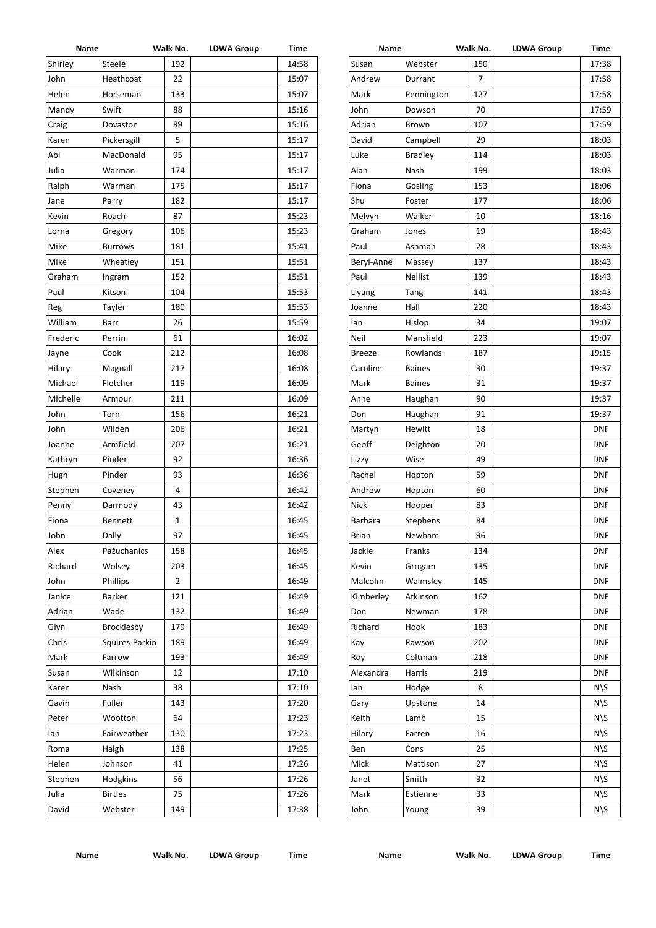| Name     |                 | Walk No.       | <b>LDWA Group</b> | Time  | Name          |                | Walk No. | <b>LDWA Group</b> | Time       |
|----------|-----------------|----------------|-------------------|-------|---------------|----------------|----------|-------------------|------------|
| Shirley  | Steele          | 192            |                   | 14:58 | Susan         | Webster        | 150      |                   | 17:38      |
| John     | Heathcoat       | 22             |                   | 15:07 | Andrew        | Durrant        | 7        |                   | 17:58      |
| Helen    | Horseman        | 133            |                   | 15:07 | Mark          | Pennington     | 127      |                   | 17:58      |
| Mandy    | Swift           | 88             |                   | 15:16 | John          | Dowson         | 70       |                   | 17:59      |
| Craig    | Dovaston        | 89             |                   | 15:16 | Adrian        | Brown          | 107      |                   | 17:59      |
| Karen    | Pickersgill     | 5              |                   | 15:17 | David         | Campbell       | 29       |                   | 18:03      |
| Abi      | MacDonald       | 95             |                   | 15:17 | Luke          | <b>Bradley</b> | 114      |                   | 18:03      |
| Julia    | Warman          | 174            |                   | 15:17 | Alan          | Nash           | 199      |                   | 18:03      |
| Ralph    | Warman          | 175            |                   | 15:17 | Fiona         | Gosling        | 153      |                   | 18:06      |
| Jane     | Parry           | 182            |                   | 15:17 | Shu           | Foster         | 177      |                   | 18:06      |
| Kevin    | Roach           | 87             |                   | 15:23 | Melvyn        | Walker         | 10       |                   | 18:16      |
| Lorna    | Gregory         | 106            |                   | 15:23 | Graham        | Jones          | 19       |                   | 18:43      |
| Mike     | <b>Burrows</b>  | 181            |                   | 15:41 | Paul          | Ashman         | 28       |                   | 18:43      |
| Mike     | Wheatley        | 151            |                   | 15:51 | Beryl-Anne    | Massey         | 137      |                   | 18:43      |
| Graham   | Ingram          | 152            |                   | 15:51 | Paul          | Nellist        | 139      |                   | 18:43      |
| Paul     | Kitson          | 104            |                   | 15:53 | Liyang        | Tang           | 141      |                   | 18:43      |
| Reg      | Tayler          | 180            |                   | 15:53 | Joanne        | Hall           | 220      |                   | 18:43      |
| William  | Barr            | 26             |                   | 15:59 | lan           | Hislop         | 34       |                   | 19:07      |
| Frederic | Perrin          | 61             |                   | 16:02 | Neil          | Mansfield      | 223      |                   | 19:07      |
| Jayne    | Cook            | 212            |                   | 16:08 | <b>Breeze</b> | Rowlands       | 187      |                   | 19:15      |
| Hilary   | Magnall         | 217            |                   | 16:08 | Caroline      | <b>Baines</b>  | 30       |                   | 19:37      |
| Michael  | Fletcher        | 119            |                   | 16:09 | Mark          | <b>Baines</b>  | 31       |                   |            |
|          |                 |                |                   |       |               |                |          |                   | 19:37      |
| Michelle | Armour          | 211            |                   | 16:09 | Anne          | Haughan        | 90       |                   | 19:37      |
| John     | Torn            | 156            |                   | 16:21 | Don           | Haughan        | 91       |                   | 19:37      |
| John     | Wilden          | 206            |                   | 16:21 | Martyn        | Hewitt         | 18       |                   | <b>DNF</b> |
| Joanne   | Armfield        | 207            |                   | 16:21 | Geoff         | Deighton       | 20       |                   | <b>DNF</b> |
| Kathryn  | Pinder          | 92             |                   | 16:36 | Lizzy         | Wise           | 49       |                   | <b>DNF</b> |
| Hugh     | Pinder          | 93             |                   | 16:36 | Rachel        | Hopton         | 59       |                   | <b>DNF</b> |
| Stephen  | Coveney         | 4              |                   | 16:42 | Andrew        | Hopton         | 60       |                   | <b>DNF</b> |
| Penny    | Darmody         | 43             |                   | 16:42 | Nick          | Hooper         | 83       |                   | <b>DNF</b> |
| Fiona    | Bennett         | 1              |                   | 16:45 | Barbara       | Stephens       | 84       |                   | <b>DNF</b> |
| John     | Dally           | 97             |                   | 16:45 | <b>Brian</b>  | Newham         | 96       |                   | <b>DNF</b> |
| Alex     | Pažuchanics     | 158            |                   | 16:45 | Jackie        | Franks         | 134      |                   | <b>DNF</b> |
| Richard  | Wolsey          | 203            |                   | 16:45 | Kevin         | Grogam         | 135      |                   | <b>DNF</b> |
| John     | <b>Phillips</b> | $\overline{2}$ |                   | 16:49 | Malcolm       | Walmsley       | 145      |                   | <b>DNF</b> |
| Janice   | Barker          | 121            |                   | 16:49 | Kimberley     | Atkinson       | 162      |                   | <b>DNF</b> |
| Adrian   | Wade            | 132            |                   | 16:49 | Don           | Newman         | 178      |                   | <b>DNF</b> |
| Glyn     | Brocklesby      | 179            |                   | 16:49 | Richard       | Hook           | 183      |                   | <b>DNF</b> |
| Chris    | Squires-Parkin  | 189            |                   | 16:49 | Kay           | Rawson         | 202      |                   | <b>DNF</b> |
| Mark     | Farrow          | 193            |                   | 16:49 | Roy           | Coltman        | 218      |                   | <b>DNF</b> |
| Susan    | Wilkinson       | 12             |                   | 17:10 | Alexandra     | Harris         | 219      |                   | <b>DNF</b> |
| Karen    | Nash            | 38             |                   | 17:10 | lan           | Hodge          | 8        |                   | $N\$       |
| Gavin    | Fuller          | 143            |                   | 17:20 | Gary          | Upstone        | 14       |                   | $N\$       |
| Peter    | Wootton         | 64             |                   | 17:23 | Keith         | Lamb           | 15       |                   | $N\$       |
| lan      | Fairweather     | 130            |                   | 17:23 | Hilary        | Farren         | 16       |                   | $N\$       |
| Roma     | Haigh           | 138            |                   | 17:25 | Ben           | Cons           | 25       |                   | $N\$       |
| Helen    | Johnson         | 41             |                   | 17:26 | Mick          | Mattison       | 27       |                   | $N\$       |
| Stephen  | Hodgkins        | 56             |                   | 17:26 | Janet         | Smith          | 32       |                   | $N\$       |
| Julia    | <b>Birtles</b>  | 75             |                   | 17:26 | Mark          | Estienne       | 33       |                   | $N\$       |
| David    | Webster         | 149            |                   | 17:38 | John          | Young          | 39       |                   | $N\$       |
|          |                 |                |                   |       |               |                |          |                   |            |

| name           |                | VVdIK IVO. | LDWA Group | пше        |
|----------------|----------------|------------|------------|------------|
| Susan          | Webster        | 150        |            | 17:38      |
| Andrew         | Durrant        | 7          |            | 17:58      |
| Mark           | Pennington     | 127        |            | 17:58      |
| John           | Dowson         | 70         |            | 17:59      |
| Adrian         | Brown          | 107        |            | 17:59      |
| David          | Campbell       | 29         |            | 18:03      |
| Luke           | <b>Bradley</b> | 114        |            | 18:03      |
| Alan           | Nash           | 199        |            | 18:03      |
| Fiona          | Gosling        | 153        |            | 18:06      |
| Shu            | Foster         | 177        |            | 18:06      |
| Melvyn         | Walker         | 10         |            | 18:16      |
| Graham         | Jones          | 19         |            | 18:43      |
| Paul           | Ashman         | 28         |            | 18:43      |
| Beryl-Anne     | Massey         | 137        |            | 18:43      |
| Paul           | <b>Nellist</b> | 139        |            | 18:43      |
| Liyang         | Tang           | 141        |            | 18:43      |
| Joanne         | Hall           | 220        |            | 18:43      |
| lan            | Hislop         | 34         |            | 19:07      |
| Neil           | Mansfield      | 223        |            | 19:07      |
| <b>Breeze</b>  | Rowlands       | 187        |            | 19:15      |
| Caroline       | <b>Baines</b>  | 30         |            | 19:37      |
| Mark           | <b>Baines</b>  | 31         |            | 19:37      |
| Anne           | Haughan        | 90         |            | 19:37      |
| Don            | Haughan        | 91         |            | 19:37      |
| Martyn         | Hewitt         | 18         |            | <b>DNF</b> |
| Geoff          | Deighton       | 20         |            | <b>DNF</b> |
| Lizzy          | Wise           | 49         |            | <b>DNF</b> |
| Rachel         | Hopton         | 59         |            | <b>DNF</b> |
| Andrew         | Hopton         | 60         |            | <b>DNF</b> |
| Nick           | Hooper         | 83         |            | <b>DNF</b> |
| <b>Barbara</b> | Stephens       | 84         |            | <b>DNF</b> |
| <b>Brian</b>   | Newham         | 96         |            | <b>DNF</b> |
| Jackie         | Franks         | 134        |            | <b>DNF</b> |
| Kevin          | Grogam         | 135        |            | <b>DNF</b> |
| Malcolm        | Walmsley       | 145        |            | <b>DNF</b> |
| Kimberley      | Atkinson       | 162        |            | <b>DNF</b> |
| Don            | Newman         | 178        |            | <b>DNF</b> |
| Richard        | Hook           | 183        |            | <b>DNF</b> |
| Kay            | Rawson         | 202        |            | <b>DNF</b> |
| Roy            | Coltman        | 218        |            | <b>DNF</b> |
| Alexandra      | Harris         | 219        |            | <b>DNF</b> |
| lan            | Hodge          | 8          |            | $N\$       |
| Gary           | Upstone        | 14         |            | $N\$       |
| Keith          | Lamb           | 15         |            | $N\$       |
| Hilary         | Farren         | 16         |            | $N\$       |
| Ben            | Cons           | 25         |            | $N\$       |
| Mick           | Mattison       | 27         |            | $N\$       |
| Janet          | Smith          | 32         |            | $N\$       |
| Mark           | Estienne       | 33         |            | $N\$       |
| John           | Young          | 39         |            | $N\$       |
|                |                |            |            |            |

**Name Walk No. LDWA Group Time Name Walk No. LDWA Group Time**